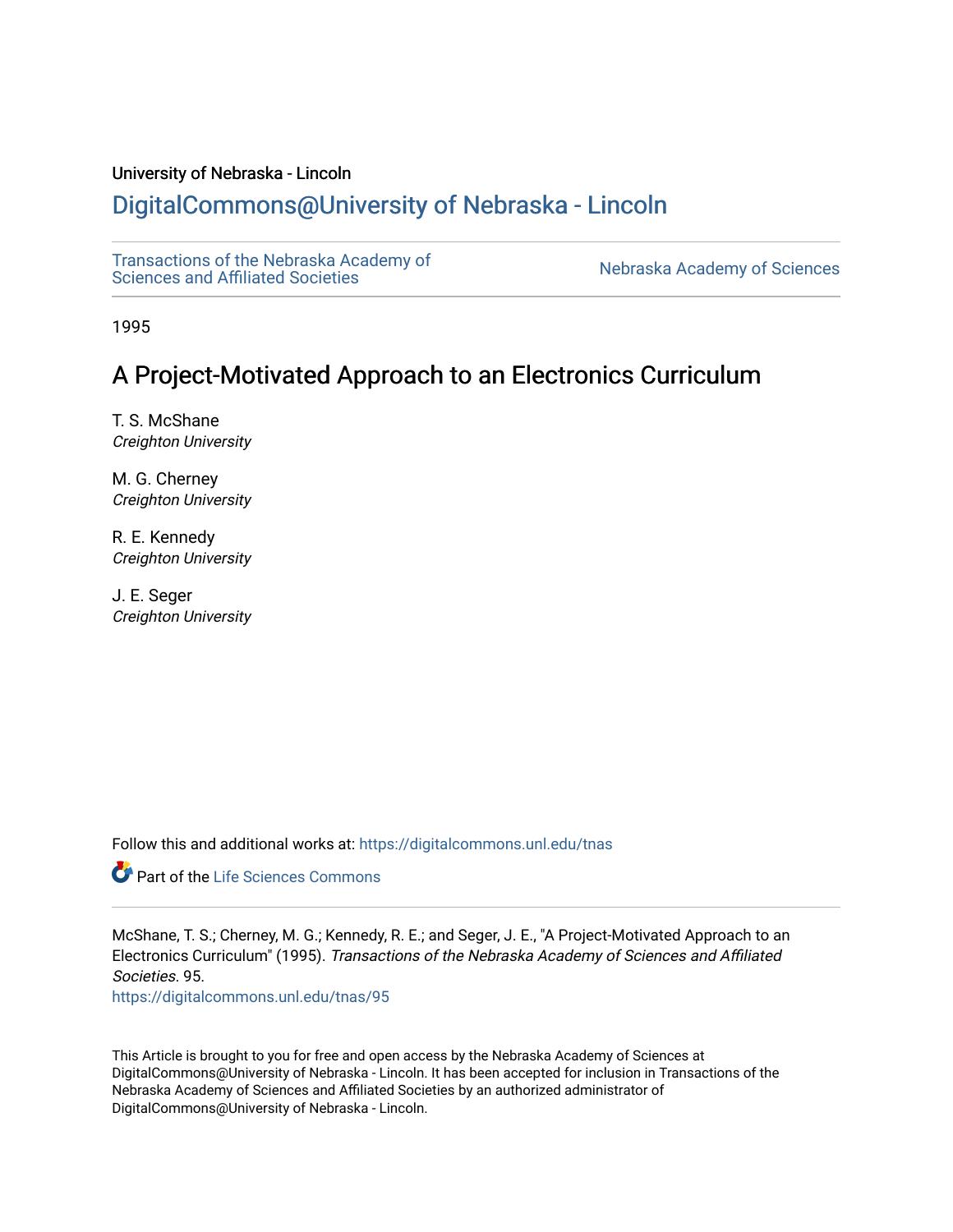# University of Nebraska - Lincoln

# [DigitalCommons@University of Nebraska - Lincoln](https://digitalcommons.unl.edu/)

[Transactions of the Nebraska Academy of](https://digitalcommons.unl.edu/tnas)  Transactions of the Nebraska Academy of Sciences<br>Sciences and Affiliated Societies

1995

# A Project-Motivated Approach to an Electronics Curriculum

T. S. McShane Creighton University

M. G. Cherney Creighton University

R. E. Kennedy Creighton University

J. E. Seger Creighton University

Follow this and additional works at: [https://digitalcommons.unl.edu/tnas](https://digitalcommons.unl.edu/tnas?utm_source=digitalcommons.unl.edu%2Ftnas%2F95&utm_medium=PDF&utm_campaign=PDFCoverPages) 

Part of the [Life Sciences Commons](http://network.bepress.com/hgg/discipline/1016?utm_source=digitalcommons.unl.edu%2Ftnas%2F95&utm_medium=PDF&utm_campaign=PDFCoverPages) 

McShane, T. S.; Cherney, M. G.; Kennedy, R. E.; and Seger, J. E., "A Project-Motivated Approach to an Electronics Curriculum" (1995). Transactions of the Nebraska Academy of Sciences and Affiliated Societies. 95. [https://digitalcommons.unl.edu/tnas/95](https://digitalcommons.unl.edu/tnas/95?utm_source=digitalcommons.unl.edu%2Ftnas%2F95&utm_medium=PDF&utm_campaign=PDFCoverPages)

This Article is brought to you for free and open access by the Nebraska Academy of Sciences at DigitalCommons@University of Nebraska - Lincoln. It has been accepted for inclusion in Transactions of the Nebraska Academy of Sciences and Affiliated Societies by an authorized administrator of DigitalCommons@University of Nebraska - Lincoln.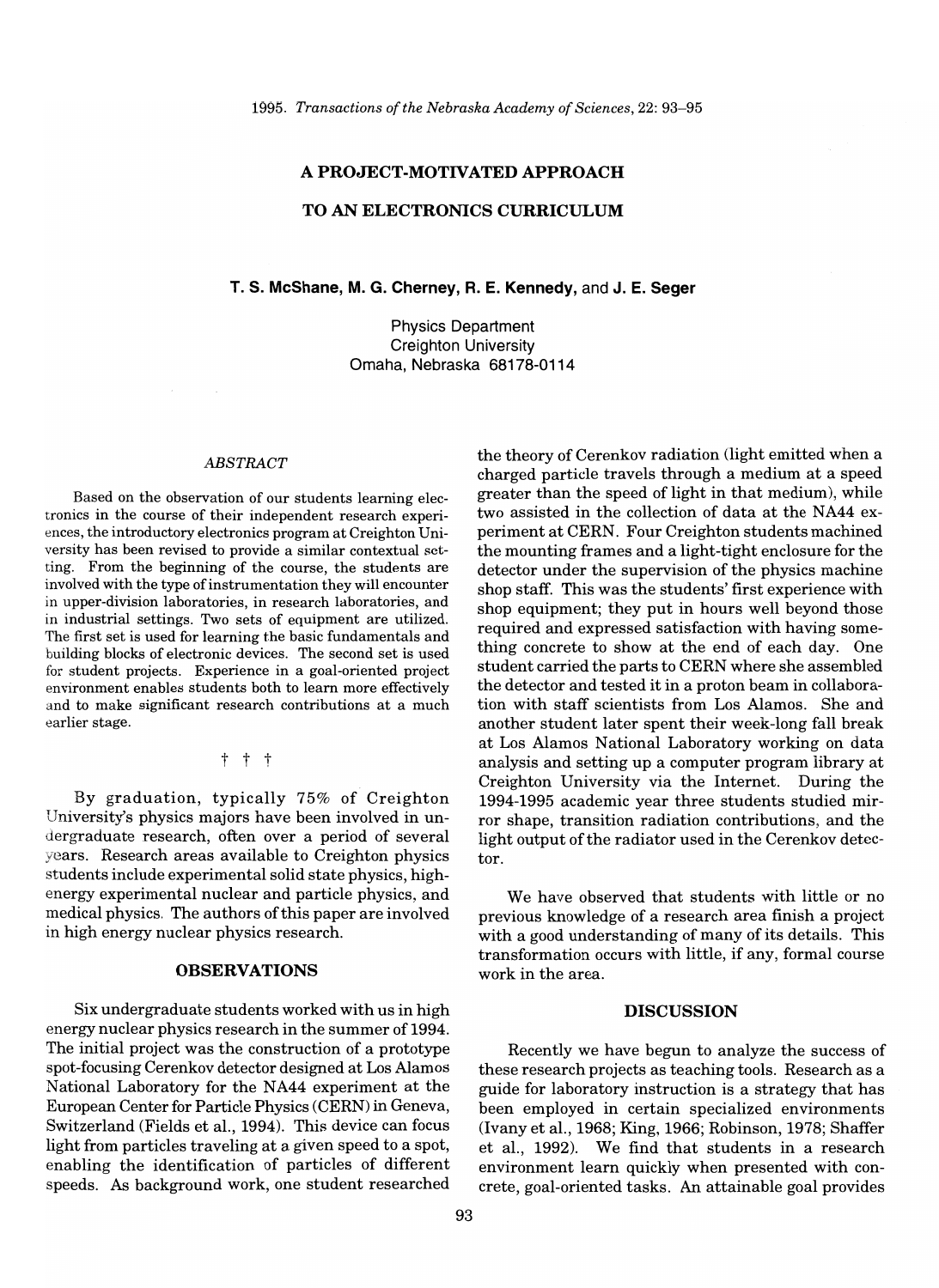# **A PROJECT-MOTIVATED APPROACH**

## **TO AN ELECTRONICS CURRICULUM**

# **T. S. McShane, M. G. Cherney, R. E. Kennedy,** and **J. E. Seger**

Physics Department Creighton University Omaha, Nebraska 68178-0114

#### *ABSTRACT*

Based on the observation of our students learning electronics in the course of their independent research experiences, the introductory electronics program at Creighton University has been revised to provide a similar contextual setting. From the beginning of the course, the students are involved with the type of instrumentation they will encounter in upper-division laboratories, in research laboratories, and in industrial settings. Two sets of equipment are utilized. The first set is used for learning the basic fundamentals and building blocks of electronic devices. The second set is used for student projects. Experience in a goal-oriented project environment enables students both to learn more effectively and to make significant research contributions at a much earlier stage.

 $t +$ 

By graduation, typically 75% of Creighton University's physics majors have been involved in undergraduate research, often over a period of several years. Research areas available to Creighton physics students include experimental solid state physics, highenergy experimental nuclear and particle physics, and medical physics. The authors of this paper are involved in high energy nuclear physics research.

### **OBSERVATIONS**

Six undergraduate students worked with us in high energy nuclear physics research in the summer of 1994. The initial project was the construction of a prototype spot-focusing Cerenkov detector designed at Los Alamos National Laboratory for the NA44 experiment at the European Center for Particle Physics (CERN) in Geneva, Switzerland (Fields et al., 1994). This device can focus light from particles traveling at a given speed to a spot, enabling the identification of particles of different speeds. As background work, one student researched

the theory of Cerenkov radiation (light emitted when a charged particle travels through a medium at a speed greater than the speed of light in that medium), while two assisted in the collection of data at the NA44 experiment at CERN. Four Creighton students machined the mounting frames and a light-tight enclosure for the detector under the supervision of the physics machine shop staff. This was the students' first experience with shop equipment; they put in hours well beyond those required and expressed satisfaction with having something concrete to show at the end of each day. One student carried the parts to CERN where she assembled the detector and tested it in a proton beam in collaboration with staff scientists from Los Alamos. She and another student later spent their week-long fall break at Los Alamos National Laboratory working on data analysis and setting up a computer program library at Creighton University via the Internet. During the 1994-1995 academic year three students studied mirror shape, transition radiation contributions, and the light output of the radiator used in the Cerenkov detector.

We have observed that students with little or no previous knowledge of a research area finish a project with a good understanding of many of its details. This transformation occurs with little, if any, formal course work in the area.

### **DISCUSSION**

Recently we have begun to analyze the success of these research projects as teaching tools. Research as a guide for laboratory instruction is a strategy that has been employed in certain specialized environments (Iv any et al., 1968; King, 1966; Robinson, 1978; Shaffer et al., 1992). We find that students in a research environment learn quickly when presented with concrete, goal-oriented tasks. An attainable goal provides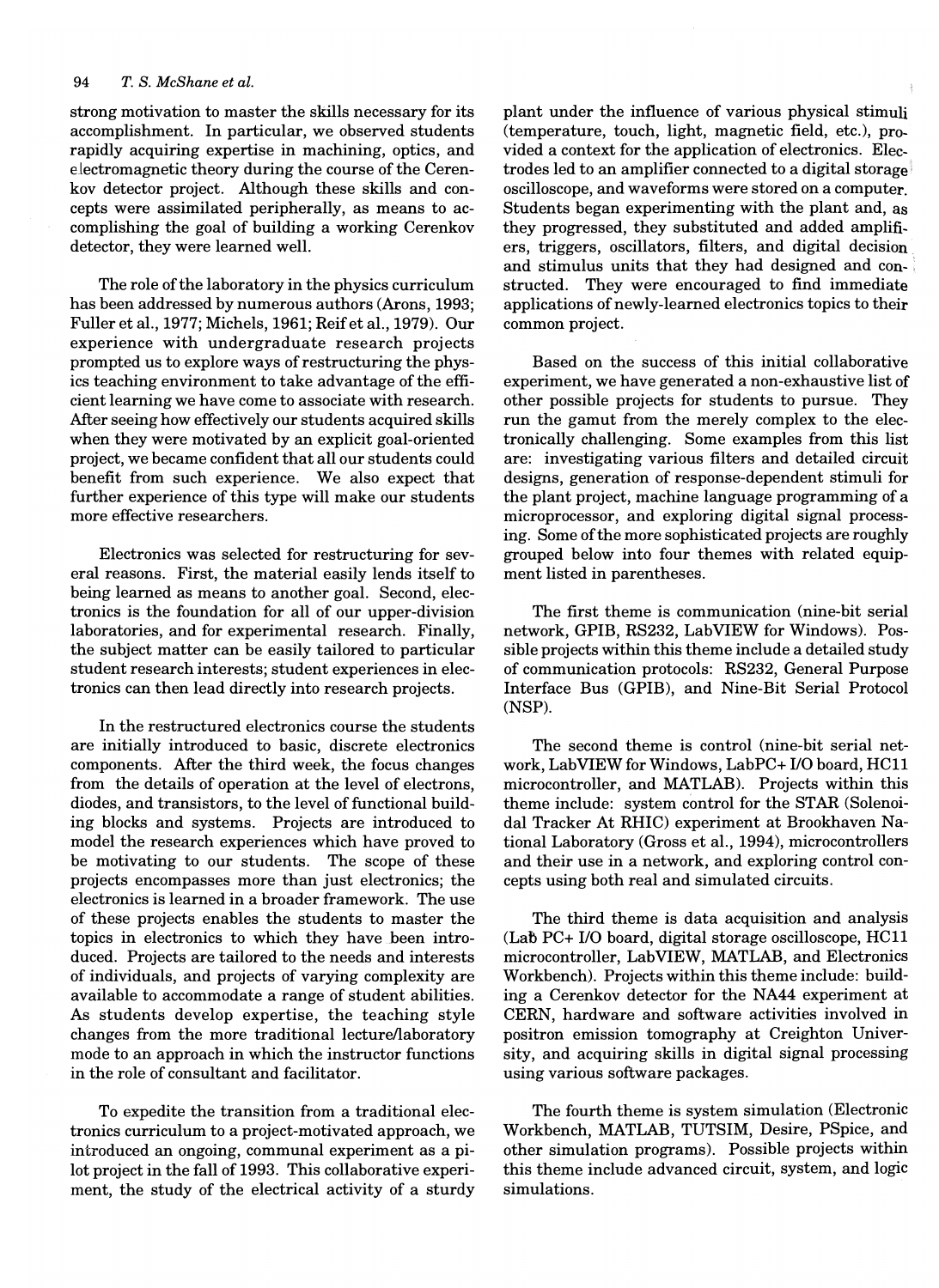strong motivation to master the skills necessary for its accomplishment. In particular, we observed students rapidly acquiring expertise in machining, optics, and electromagnetic theory during the course of the Cerenkov detector project. Although these skills and concepts were assimilated peripherally, as means to accomplishing the goal of building a working Cerenkov detector, they were learned well.

The role of the laboratory in the physics curriculum has been addressed by numerous authors (Arons, 1993; Fuller et aI., 1977; Michels, 1961; Reifet aI., 1979). Our experience with undergraduate research projects prompted us to explore ways of restructuring the physics teaching environment to take advantage of the efficient learning we have come to associate with research. After seeing how effectively our students acquired skills when they were motivated by an explicit goal-oriented project, we became confident that all our students could benefit from such experience. We also expect that further experience of this type will make our students more effective researchers.

Electronics was selected for restructuring for several reasons. First, the material easily lends itself to being learned as means to another goal. Second, electronics is the foundation for all of our upper-division laboratories, and for experimental research. Finally, the subject matter can be easily tailored to particular student research interests; student experiences in electronics can then lead directly into research projects.

In the restructured electronics course the students are initially introduced to basic, discrete electronics components. After the third week, the focus changes from the details of operation at the level of electrons, diodes, and transistors, to the level of functional building blocks and systems. Projects are introduced to model the research experiences which have proved to be motivating to our students. The scope of these projects encompasses more than just electronics; the electronics is learned in a broader framework. The use of these projects enables the students to master the topics in electronics to which they have been introduced. Projects are tailored to the needs and interests of individuals, and projects of varying complexity are available to accommodate a range of student abilities. As students develop expertise, the teaching style changes from the more traditional lecturellaboratory mode to an approach in which the instructor functions in the role of consultant and facilitator.

To expedite the transition from a traditional electronics curriculum to a project-motivated approach, we introduced an ongoing, communal experiment as a pilot project in the fall of 1993. This collaborative experiment, the study of the electrical activity of a sturdy plant under the influence of various physical stimuli (temperature, touch, light, magnetic field, etc.), provided a context for the application of electronics. Electrodes led to an amplifier connected to a digital storage oscilloscope, and waveforms were stored on a computer. Students began experimenting with the plant and, as they progressed, they substituted and added amplifiers, triggers, oscillators, filters, and digital decision and stimulus units that they had designed and constructed. They were encouraged to find immediate applications of newly-learned electronics topics to their common project.

Based on the success of this initial collaborative experiment, we have generated a non-exhaustive list of other possible projects for students to pursue. They run the gamut from the merely complex to the electronically challenging. Some examples from this list are: investigating various filters and detailed circuit designs, generation of response-dependent stimuli for the plant project, machine language programming of a microprocessor, and exploring digital signal processing. Some of the more sophisticated projects are roughly grouped below into four themes with related equipment listed in parentheses.

The first theme is communication (nine-bit serial network, GPIB, RS232, LabVIEW for Windows). Possible projects within this theme include a detailed study of communication protocols: RS232, General Purpose Interface Bus (GPIB), and Nine-Bit Serial Protocol (NSP).

The second theme is control (nine-bit serial network, Lab VIEW for Windows, LabPC+ I/O board, HCll microcontroller, and MATLAB). Projects within this theme include: system control for the STAR (Solenoidal Tracker At RHIC) experiment at Brookhaven National Laboratory (Gross et aI., 1994), microcontrollers and their use in a network, and exploring control concepts using both real and simulated circuits.

The third theme is data acquisition and analysis (Lab PC+ I/O board, digital storage oscilloscope, HCll micro controller, LabVIEW, MATLAB, and Electronics Workbench). Projects within this theme include: building a Cerenkov detector for the NA44 experiment at CERN, hardware and software activities involved in positron emission tomography at Creighton University, and acquiring skills in digital signal processing using various software packages.

The fourth theme is system simulation (Electronic Workbench, MATLAB, TUTSIM, Desire, PSpice, and other simulation programs). Possible projects within this theme include advanced circuit, system, and logic simulations.